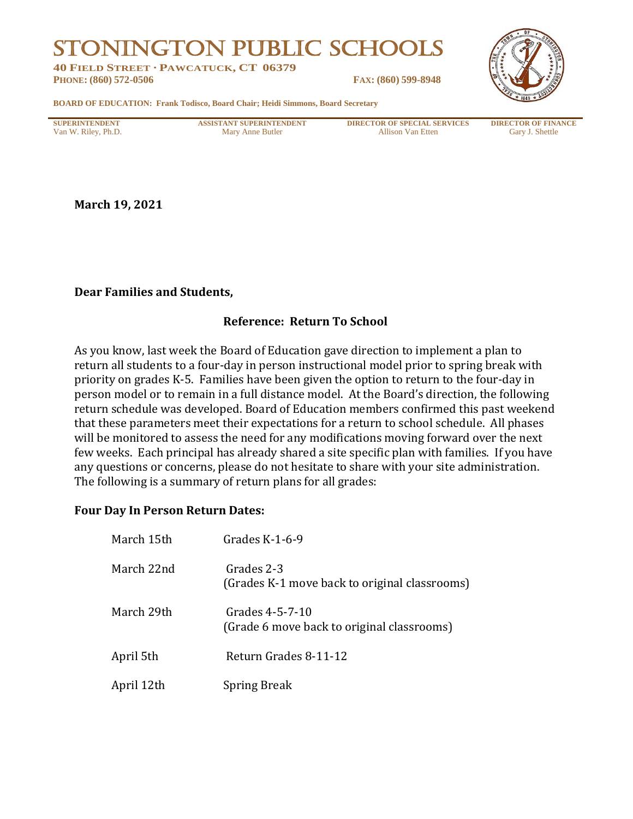# STONINGTON PUBLIC SCHOOLS

**40 FIELD STREET · PAWCATUCK, CT 06379 PHONE: (860) 572-0506 FAX: (860) 599-8948**



**BOARD OF EDUCATION: Frank Todisco, Board Chair; Heidi Simmons, Board Secretary**

**SUPERINTENDENT ASSISTANT SUPERINTENDENT DIRECTOR OF SPECIAL SERVICES DIRECTOR OF FINANCE** Van W. Riley, Ph.D. **Mary Anne Butler** Allison Van Etten Gary J. Shettle

**March 19, 2021**

#### **Dear Families and Students,**

### **Reference: Return To School**

As you know, last week the Board of Education gave direction to implement a plan to return all students to a four-day in person instructional model prior to spring break with priority on grades K-5. Families have been given the option to return to the four-day in person model or to remain in a full distance model. At the Board's direction, the following return schedule was developed. Board of Education members confirmed this past weekend that these parameters meet their expectations for a return to school schedule. All phases will be monitored to assess the need for any modifications moving forward over the next few weeks. Each principal has already shared a site specific plan with families. If you have any questions or concerns, please do not hesitate to share with your site administration. The following is a summary of return plans for all grades:

#### **Four Day In Person Return Dates:**

| March 15th | Grades $K-1-6-9$                                              |
|------------|---------------------------------------------------------------|
| March 22nd | Grades 2-3<br>(Grades K-1 move back to original classrooms)   |
| March 29th | Grades 4-5-7-10<br>(Grade 6 move back to original classrooms) |
| April 5th  | Return Grades 8-11-12                                         |
| April 12th | <b>Spring Break</b>                                           |